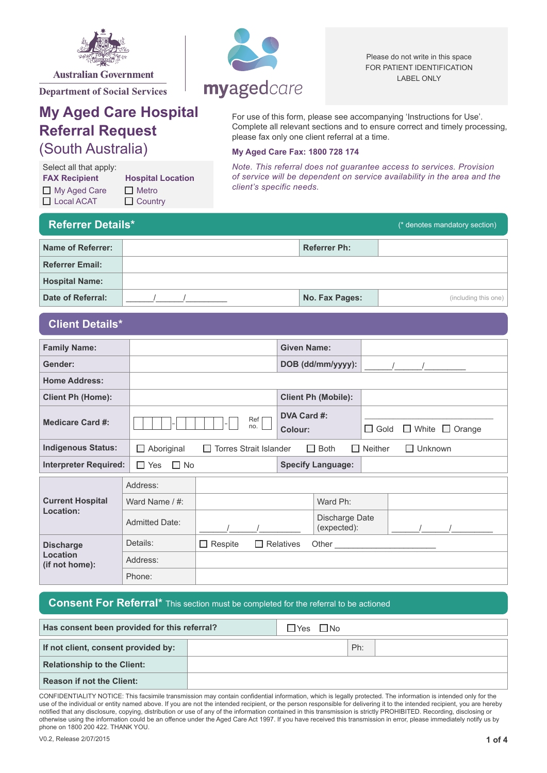

**Department of Social Services** 

## **My Aged Care Hospital Referral Request** (South Australia)

**FAX Recipient Hospital Location**  $\Box$  My Aged Care  $\Box$  Metro □ Local ACAT □ Country Select all that apply:

# myagedcare

Please do not write in this space FOR PATIENT IDENTIFICATION LABEL ONLY

For use of this form, please see accompanying 'Instructions for Use'. Complete all relevant sections and to ensure correct and timely processing, please fax only one client referral at a time.

#### **My Aged Care Fax: 1800 728 174**

*Note. This referral does not guarantee access to services. Provision of service will be dependent on service availability in the area and the client's specific needs.*

| <b>Referrer Details*</b> | (* denotes mandatory section) |                      |  |
|--------------------------|-------------------------------|----------------------|--|
| Name of Referrer:        | <b>Referrer Ph:</b>           |                      |  |
| <b>Referrer Email:</b>   |                               |                      |  |
| <b>Hospital Name:</b>    |                               |                      |  |
| Date of Referral:        | No. Fax Pages:                | (including this one) |  |

## **Client Details\***

| <b>Family Name:</b>          |                       |                               |                               |                          |                |                |                            |
|------------------------------|-----------------------|-------------------------------|-------------------------------|--------------------------|----------------|----------------|----------------------------|
| Gender:                      |                       |                               |                               | DOB (dd/mm/yyyy):        |                |                |                            |
| <b>Home Address:</b>         |                       |                               |                               |                          |                |                |                            |
| <b>Client Ph (Home):</b>     |                       |                               | <b>Client Ph (Mobile):</b>    |                          |                |                |                            |
| <b>Medicare Card #:</b>      |                       | Ref <br>no.                   | DVA Card #:<br>Colour:        |                          | $\Box$ Gold    |                | $\Box$ White $\Box$ Orange |
| <b>Indigenous Status:</b>    | $\Box$ Aboriginal     | $\Box$ Torres Strait Islander | $\Box$ Both                   |                          | $\Box$ Neither | $\Box$ Unknown |                            |
| <b>Interpreter Required:</b> | $\Box$ Yes            | $\Box$ No                     |                               | <b>Specify Language:</b> |                |                |                            |
|                              | Address:              |                               |                               |                          |                |                |                            |
| <b>Current Hospital</b>      | Ward Name / #:        |                               |                               | Ward Ph:                 |                |                |                            |
| Location:                    | <b>Admitted Date:</b> |                               | Discharge Date<br>(expected): |                          |                |                |                            |
| <b>Discharge</b>             | Details:              | $\Box$ Respite                | $\Box$ Relatives              |                          |                |                |                            |
| Location<br>(if not home):   | Address:              |                               |                               |                          |                |                |                            |
|                              | Phone:                |                               |                               |                          |                |                |                            |

### **Consent For Referral\*** This section must be completed for the referral to be actioned

| Has consent been provided for this referral? | $\Box$ No<br>$\Box$ Yes |  |     |  |
|----------------------------------------------|-------------------------|--|-----|--|
| If not client, consent provided by:          |                         |  | Ph: |  |
| <b>Relationship to the Client:</b>           |                         |  |     |  |
| <b>Reason if not the Client:</b>             |                         |  |     |  |

CONFIDENTIALITY NOTICE: This facsimile transmission may contain confidential information, which is legally protected. The information is intended only for the use of the individual or entity named above. If you are not the intended recipient, or the person responsible for delivering it to the intended recipient, you are hereby notified that any disclosure, copying, distribution or use of any of the information contained in this transmission is strictly PROHIBITED. Recording, disclosing or otherwise using the information could be an offence under the Aged Care Act 1997. If you have received this transmission in error, please immediately notify us by phone on 1800 200 422. THANK YOU.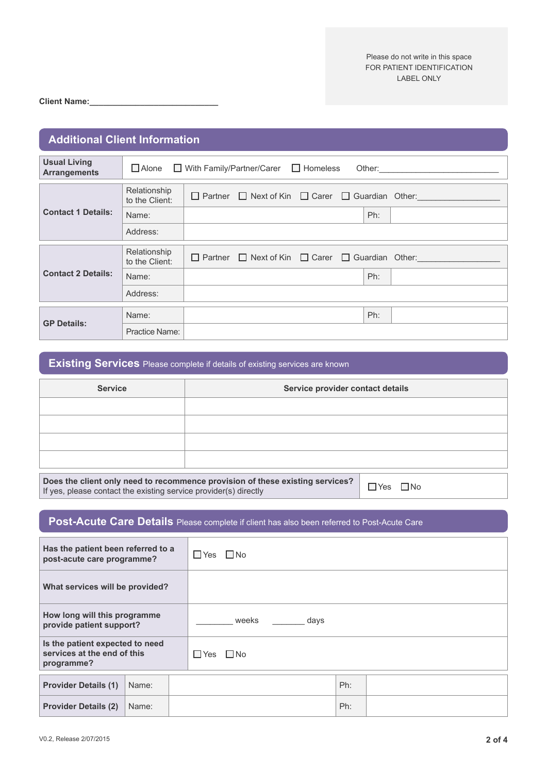**Client Name:\_\_\_\_\_\_\_\_\_\_\_\_\_\_\_\_\_\_\_\_\_\_\_\_\_\_\_\_**

| <b>Additional Client Information</b>       |                                |                                                                       |  |  |  |  |
|--------------------------------------------|--------------------------------|-----------------------------------------------------------------------|--|--|--|--|
| <b>Usual Living</b><br><b>Arrangements</b> |                                | $\Box$ Alone $\Box$ With Family/Partner/Carer $\Box$ Homeless         |  |  |  |  |
| <b>Contact 1 Details:</b>                  | Relationship<br>to the Client: | $\Box$ Partner $\Box$ Next of Kin $\Box$ Carer $\Box$ Guardian Other: |  |  |  |  |
|                                            | Name:                          | Ph:                                                                   |  |  |  |  |
|                                            | Address:                       |                                                                       |  |  |  |  |
| <b>Contact 2 Details:</b>                  | Relationship<br>to the Client: | $\Box$ Partner $\Box$ Next of Kin $\Box$ Carer $\Box$ Guardian Other: |  |  |  |  |
|                                            | Name:                          | Ph:                                                                   |  |  |  |  |
|                                            | Address:                       |                                                                       |  |  |  |  |
| <b>GP Details:</b>                         | Name:                          | Ph:                                                                   |  |  |  |  |
|                                            | Practice Name:                 |                                                                       |  |  |  |  |

**Existing Services** Please complete if details of existing services are known

| <b>Service</b> | Service provider contact details                                                |
|----------------|---------------------------------------------------------------------------------|
|                |                                                                                 |
|                |                                                                                 |
|                |                                                                                 |
|                |                                                                                 |
|                | Barra tha albert and correlate necessary considered at these colation constants |

**Does the client only need to recommence provision of these existing services?**  Does the chem only heed to recommence provision of these existing services  $\epsilon$   $\Box$  Yes  $\Box$  No If yes, please contact the existing service provider(s) directly

## **Post-Acute Care Details** Please complete if client has also been referred to Post-Acute Care

| Has the patient been referred to a<br>post-acute care programme?             |       |  | $\Box$ Yes $\Box$ No |
|------------------------------------------------------------------------------|-------|--|----------------------|
| What services will be provided?                                              |       |  |                      |
| How long will this programme<br>provide patient support?                     |       |  | weeks<br>days        |
| Is the patient expected to need<br>services at the end of this<br>programme? |       |  | $\Box$ Yes $\Box$ No |
| <b>Provider Details (1)</b>                                                  | Name: |  | Ph:                  |
| <b>Provider Details (2)</b>                                                  | Name: |  | Ph:                  |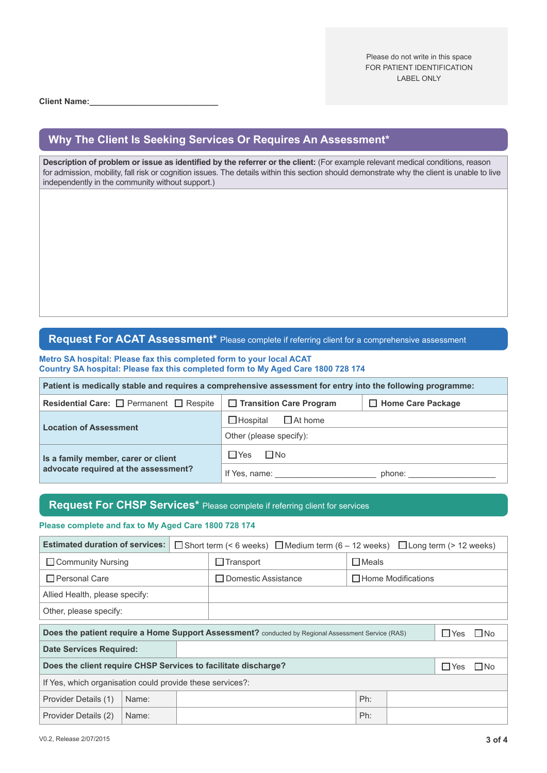Please do not write in this space FOR PATIENT IDENTIFICATION LABEL ONLY

**Client Name:\_\_\_\_\_\_\_\_\_\_\_\_\_\_\_\_\_\_\_\_\_\_\_\_\_\_\_\_**

## **Why The Client Is Seeking Services Or Requires An Assessment\***

**Description of problem or issue as identified by the referrer or the client:** (For example relevant medical conditions, reason for admission, mobility, fall risk or cognition issues. The details within this section should demonstrate why the client is unable to live independently in the community without support.)

## **Request For ACAT Assessment\*** Please complete if referring client for a comprehensive assessment

**Metro SA hospital: Please fax this completed form to your local ACAT Country SA hospital: Please fax this completed form to My Aged Care 1800 728 174**

| Patient is medically stable and requires a comprehensive assessment for entry into the following programme: |                                   |                          |  |  |  |
|-------------------------------------------------------------------------------------------------------------|-----------------------------------|--------------------------|--|--|--|
| Residential Care: $\Box$ Permanent $\Box$ Respite                                                           | □ Transition Care Program         | $\Box$ Home Care Package |  |  |  |
| <b>Location of Assessment</b>                                                                               | $\Box$ Hospital<br>$\Box$ At home |                          |  |  |  |
|                                                                                                             | Other (please specify):           |                          |  |  |  |
| Is a family member, carer or client                                                                         | $\Box$ Yes<br>$\square$ No        |                          |  |  |  |
| advocate required at the assessment?                                                                        | If Yes, name:                     | phone:                   |  |  |  |

## **Request For CHSP Services\*** Please complete if referring client for services

#### **Please complete and fax to My Aged Care 1800 728 174**

| <b>Estimated duration of services:</b>                                                             |       | $\Box$ Short term (< 6 weeks) $\Box$ Medium term (6 – 12 weeks) $\Box$ Long term (> 12 weeks) |                     |  |     |                           |       |  |
|----------------------------------------------------------------------------------------------------|-------|-----------------------------------------------------------------------------------------------|---------------------|--|-----|---------------------------|-------|--|
| $\Box$ Community Nursing                                                                           |       | $\Box$ Meals<br>$\Box$ Transport                                                              |                     |  |     |                           |       |  |
| $\Box$ Personal Care                                                                               |       |                                                                                               | Domestic Assistance |  |     | $\Box$ Home Modifications |       |  |
| Allied Health, please specify:                                                                     |       |                                                                                               |                     |  |     |                           |       |  |
| Other, please specify:                                                                             |       |                                                                                               |                     |  |     |                           |       |  |
| Does the patient require a Home Support Assessment? conducted by Regional Assessment Service (RAS) |       |                                                                                               |                     |  |     | $\Box$ Yes                | l INo |  |
| <b>Date Services Required:</b>                                                                     |       |                                                                                               |                     |  |     |                           |       |  |
| Does the client require CHSP Services to facilitate discharge?                                     |       |                                                                                               |                     |  |     | $\Box$ Yes                | l INo |  |
| If Yes, which organisation could provide these services?:                                          |       |                                                                                               |                     |  |     |                           |       |  |
| Provider Details (1)                                                                               | Name: |                                                                                               |                     |  | Ph: |                           |       |  |
| Provider Details (2)                                                                               | Name: |                                                                                               |                     |  | Ph: |                           |       |  |